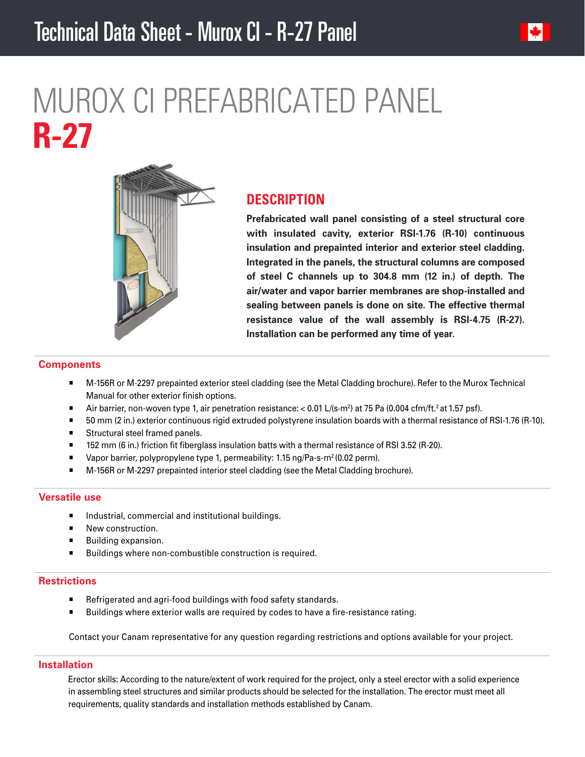

# MUROX CI PREFABRICATED PANEL **R-27**



## **DESCRIPTION**

**Prefabricated wall panel consisting of a steel structural core with insulated cavity, exterior RSI-1.76 (R-10) continuous insulation and prepainted interior and exterior steel cladding. Integrated in the panels, the structural columns are composed of steel C channels up to 304.8 mm (12 in.) of depth. The air/water and vapor barrier membranes are shop-installed and sealing between panels is done on site. The effective thermal resistance value of the wall assembly is RSI-4.75 (R-27). Installation can be performed any time of year.**

#### **Components**

- M-156R or M-2297 prepainted exterior steel cladding (see the Metal Cladding brochure). Refer to the Murox Technical Manual for other exterior finish options.
- $\blacksquare$  Air barrier, non-woven type 1, air penetration resistance: < 0.01 L/(s·m<sup>2</sup>) at 75 Pa (0.004 cfm/ft.<sup>2</sup> at 1.57 psf).
- 50 mm (2 in.) exterior continuous rigid extruded polystyrene insulation boards with a thermal resistance of RSI-1.76 (R-10).
- **Structural steel framed panels.**
- 152 mm (6 in.) friction fit fiberglass insulation batts with a thermal resistance of RSI 3.52 (R-20).
- Vapor barrier, polypropylene type 1, permeability: 1.15 ng/Pa-s-m<sup>2</sup> (0.02 perm).
- M-156R or M-2297 prepainted interior steel cladding (see the Metal Cladding brochure).

## **Versatile use**

- Industrial, commercial and institutional buildings.
- New construction.
- Building expansion.
- Buildings where non-combustible construction is required.

## **Restrictions**

- Refrigerated and agri-food buildings with food safety standards.
- **Buildings where exterior walls are required by codes to have a fire-resistance rating.**

Contact your Canam representative for any question regarding restrictions and options available for your project.

## **Installation**

Erector skills: According to the nature/extent of work required for the project, only a steel erector with a solid experience in assembling steel structures and similar products should be selected for the installation. The erector must meet all requirements, quality standards and installation methods established by Canam.